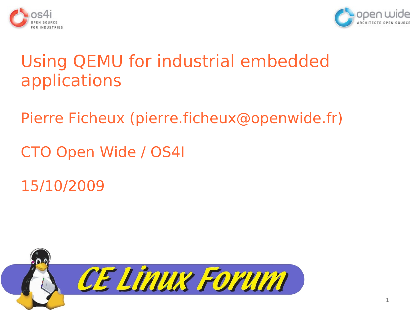



# Using QEMU for industrial embedded applications

Pierre Ficheux [\(pierre.ficheux@openwide.fr\)](mailto:pierre.ficheux@openwide.fr)

CTO Open Wide / OS4I

15/10/2009

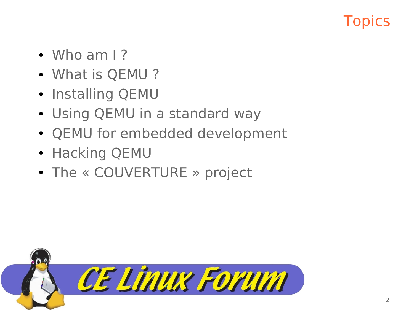## **Topics**

- $\bullet$  Who am I?
- What is QEMU?
- Installing QEMU
- Using QEMU in a standard way
- QEMU for embedded development
- Hacking QEMU
- The « COUVERTURE » project

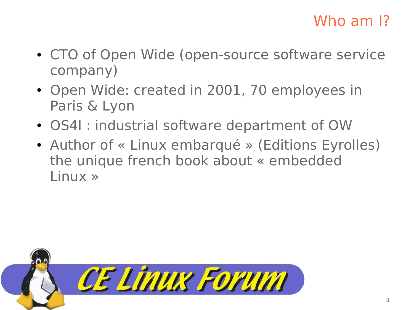## Who am I?

- CTO of Open Wide (open-source software service company)
- Open Wide: created in 2001, 70 employees in Paris & Lyon
- OS4I : industrial software department of OW
- Author of « Linux embarqué » (Editions Eyrolles) the unique french book about « embedded Linux »

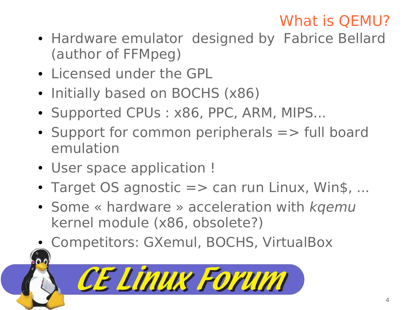# What is QEMU?

- Hardware emulator designed by Fabrice Bellard (author of FFMpeg)
- Licensed under the GPL
- Initially based on BOCHS (x86)
- Supported CPUs: x86, PPC, ARM, MIPS...
- $\bullet$  Support for common peripherals  $\Rightarrow$  full board emulation
- User space application !
- $\bullet$  Target OS agnostic  $\Rightarrow$  can run Linux, Win\$, ...
- Some « hardware » acceleration with  $kqemu$ kernel module (x86, obsolete?)
- Competitors: GXemul, BOCHS, VirtualBox

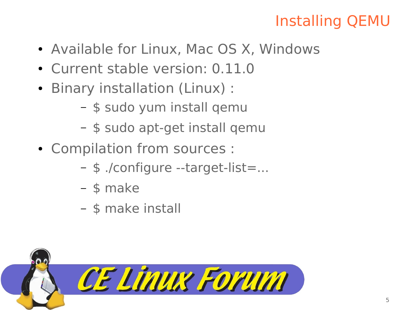## Installing QEMU

- Available for Linux, Mac OS X, Windows
- Current stable version: 0.11.0
- Binary installation (Linux) :
	- \$ sudo yum install qemu
	- \$ sudo apt-get install qemu
- Compilation from sources :
	- \$ ./configure --target-list=...
	- \$ make
	- \$ make install

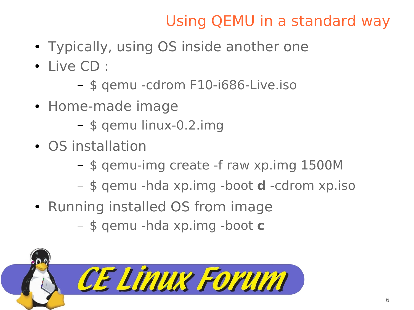## Using QEMU in a standard way

- Typically, using OS inside another one
- Live CD :
	- \$ qemu -cdrom F10-i686-Live.iso
- Home-made image
	- \$ qemu linux-0.2.img
- OS installation
	- \$ qemu-img create -f raw xp.img 1500M
	- \$ qemu -hda xp.img -boot **d** -cdrom xp.iso
- Running installed OS from image
	- \$ qemu -hda xp.img -boot **c**

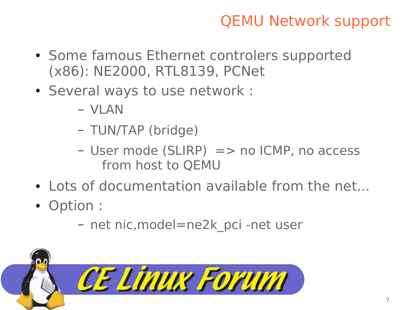## QEMU Network support

- Some famous Ethernet controlers supported (x86): NE2000, RTL8139, PCNet
- Several ways to use network :
	- VLAN
	- TUN/TAP (bridge)
	- $-$  User mode (SLIRP)  $\Rightarrow$  no ICMP, no access from host to QEMU
- Lots of documentation available from the net...
- Option :
	- net nic,model=ne2k\_pci -net user

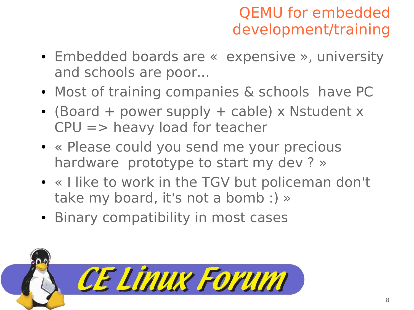## QEMU for embedded development/training

- Embedded boards are « expensive », university and schools are poor...
- Most of training companies & schools have PC
- (Board + power supply + cable) x Nstudent  $x$ CPU => heavy load for teacher
- « Please could you send me your precious hardware prototype to start my dev ? »
- « I like to work in the TGV but policeman don't take my board, it's not a bomb :) »
- Binary compatibility in most cases

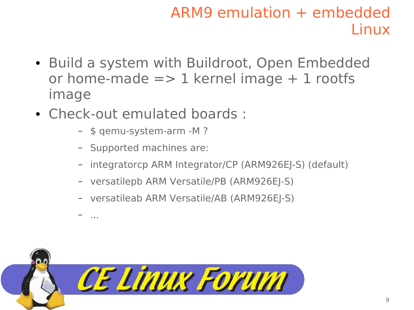## ARM9 emulation + embedded Linux

- Build a system with Buildroot, Open Embedded or home-made  $\Rightarrow$  1 kernel image  $+$  1 rootfs image
- Check-out emulated boards :
	- \$ qemu-system-arm -M ?
	- Supported machines are:

– ...

- integratorcp ARM Integrator/CP (ARM926EJ-S) (default)
- versatilepb ARM Versatile/PB (ARM926EJ-S)
- versatileab ARM Versatile/AB (ARM926EJ-S)

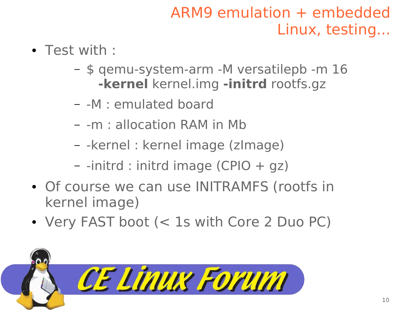## ARM9 emulation + embedded Linux, testing...

- Test with :
	- \$ qemu-system-arm -M versatilepb -m 16 **-kernel** kernel.img **-initrd** rootfs.gz
	- -M : emulated board
	- -m : allocation RAM in Mb
	- -kernel : kernel image (zImage)
	- -initrd : initrd image (CPIO + gz)
- Of course we can use INITRAMFS (rootfs in kernel image)
- Very FAST boot (< 1s with Core 2 Duo PC)

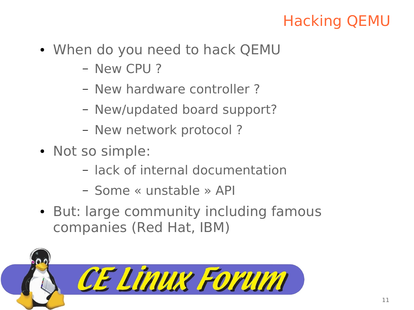## Hacking QEMU

- When do you need to hack QEMU
	- New CPU ?
	- New hardware controller ?
	- New/updated board support?
	- New network protocol ?
- Not so simple:
	- lack of internal documentation
	- Some « unstable » API
- But: large community including famous companies (Red Hat, IBM)

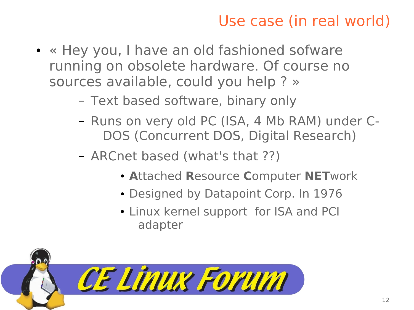## Use case (in real world)

- « Hey you, I have an old fashioned sofware running on obsolete hardware. Of course no sources available, could you help ? »
	- Text based software, binary only
	- Runs on very old PC (ISA, 4 Mb RAM) under C-DOS (Concurrent DOS, Digital Research)
	- ARCnet based (what's that ??)
		- **A**ttached **R**esource **C**omputer **NET**work
		- Designed by Datapoint Corp. In 1976
		- Linux kernel support for ISA and PCI adapter

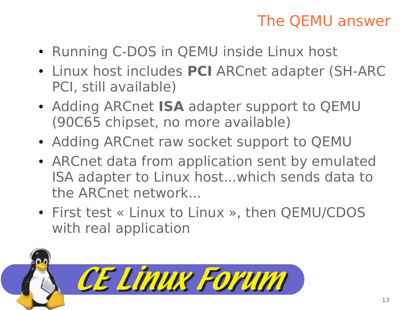### The QEMU answer

- Running C-DOS in QEMU inside Linux host
- Linux host includes PCI ARCnet adapter (SH-ARC PCI, still available)
- Adding ARCnet **ISA** adapter support to QEMU (90C65 chipset, no more available)
- Adding ARCnet raw socket support to QEMU
- ARCnet data from application sent by emulated ISA adapter to Linux host...which sends data to the ARCnet network...
- First test « Linux to Linux », then QEMU/CDOS with real application

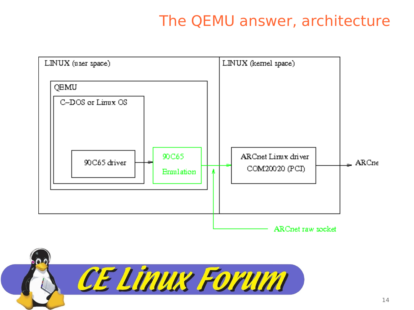### The QEMU answer, architecture



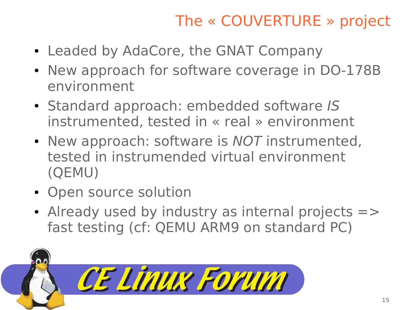## The « COUVERTURE » project

- Leaded by AdaCore, the GNAT Company
- New approach for software coverage in DO-178B environment
- Standard approach: embedded software IS instrumented, tested in « real » environment
- New approach: software is NOT instrumented, tested in instrumended virtual environment (QEMU)
- Open source solution
- $\bullet$  Already used by industry as internal projects  $\Rightarrow$ fast testing (cf: QEMU ARM9 on standard PC)

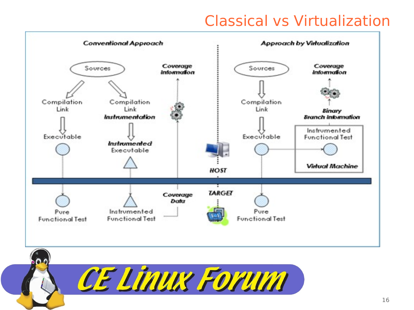#### Classical vs Virtualization

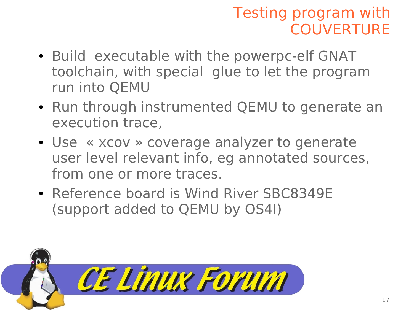## Testing program with **COUVERTURE**

- Build executable with the powerpc-elf GNAT toolchain, with special glue to let the program run into QEMU
- Run through instrumented QEMU to generate an execution trace,
- Use « xcov » coverage analyzer to generate user level relevant info, eg annotated sources, from one or more traces.
- Reference board is Wind River SBC8349E (support added to QEMU by OS4I)

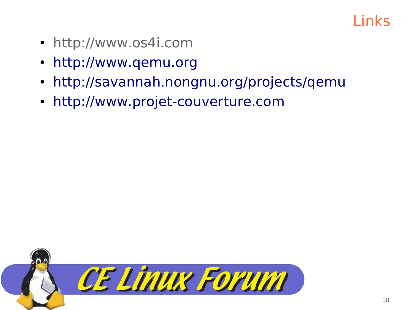#### Links

- http://www.os4i.com
- [http://www.qemu.org](http://www.qemu.org/)
- http://savannah.nongnu.org/projects/gemu
- [http://www.projet-couverture.com](http://www.projet-couverture.com/)